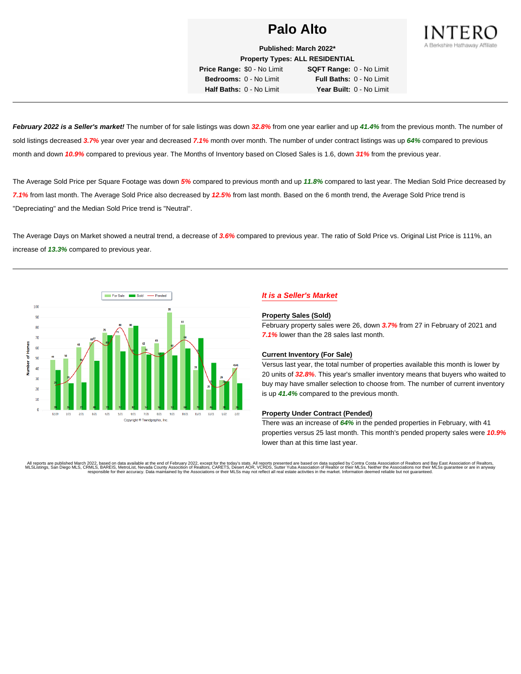

**Published: March 2022\* Property Types: ALL RESIDENTIAL**

**Price Range:** \$0 - No Limit **SQFT Range:** 0 - No Limit **Bedrooms:** 0 - No Limit **Full Baths:** 0 - No Limit **Half Baths:** 0 - No Limit **Year Built:** 0 - No Limit

**February 2022 is a Seller's market!** The number of for sale listings was down **32.8%** from one year earlier and up **41.4%** from the previous month. The number of sold listings decreased **3.7%** year over year and decreased **7.1%** month over month. The number of under contract listings was up **64%** compared to previous month and down **10.9%** compared to previous year. The Months of Inventory based on Closed Sales is 1.6, down **31%** from the previous year.

The Average Sold Price per Square Footage was down **5%** compared to previous month and up **11.8%** compared to last year. The Median Sold Price decreased by **7.1%** from last month. The Average Sold Price also decreased by **12.5%** from last month. Based on the 6 month trend, the Average Sold Price trend is "Depreciating" and the Median Sold Price trend is "Neutral".

The Average Days on Market showed a neutral trend, a decrease of **3.6%** compared to previous year. The ratio of Sold Price vs. Original List Price is 111%, an increase of **13.3%** compared to previous year.



### **It is a Seller's Market**

#### **Property Sales (Sold)**

February property sales were 26, down **3.7%** from 27 in February of 2021 and **7.1%** lower than the 28 sales last month.

#### **Current Inventory (For Sale)**

Versus last year, the total number of properties available this month is lower by 20 units of **32.8%**. This year's smaller inventory means that buyers who waited to buy may have smaller selection to choose from. The number of current inventory is up **41.4%** compared to the previous month.

#### **Property Under Contract (Pended)**

There was an increase of **64%** in the pended properties in February, with 41 properties versus 25 last month. This month's pended property sales were **10.9%** lower than at this time last year.

All reports are published March 2022, based on data available at the end of February 2022, except for the today's stats. All reports presented are based on data supplied by Contra Costa Association of Realtors and Bay East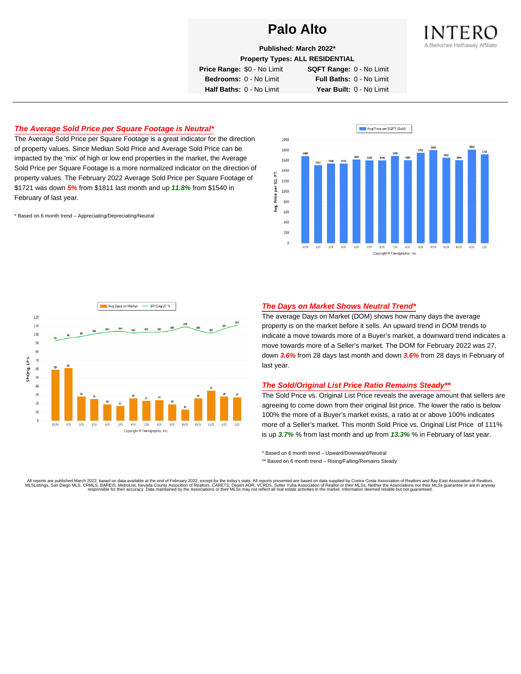

**Published: March 2022\***

**Property Types: ALL RESIDENTIAL**

**Price Range:** \$0 - No Limit **SQFT Range:** 0 - No Limit

**Bedrooms:** 0 - No Limit **Full Baths:** 0 - No Limit **Half Baths:** 0 - No Limit **Year Built:** 0 - No Limit

#### **The Average Sold Price per Square Footage is Neutral\***

The Average Sold Price per Square Footage is a great indicator for the direction of property values. Since Median Sold Price and Average Sold Price can be impacted by the 'mix' of high or low end properties in the market, the Average Sold Price per Square Footage is a more normalized indicator on the direction of property values. The February 2022 Average Sold Price per Square Footage of \$1721 was down **5%** from \$1811 last month and up **11.8%** from \$1540 in February of last year.

\* Based on 6 month trend – Appreciating/Depreciating/Neutral





#### **The Days on Market Shows Neutral Trend\***

The average Days on Market (DOM) shows how many days the average property is on the market before it sells. An upward trend in DOM trends to indicate a move towards more of a Buyer's market, a downward trend indicates a move towards more of a Seller's market. The DOM for February 2022 was 27, down **3.6%** from 28 days last month and down **3.6%** from 28 days in February of last year.

#### **The Sold/Original List Price Ratio Remains Steady\*\***

The Sold Price vs. Original List Price reveals the average amount that sellers are agreeing to come down from their original list price. The lower the ratio is below 100% the more of a Buyer's market exists, a ratio at or above 100% indicates more of a Seller's market. This month Sold Price vs. Original List Price of 111% is up **3.7%** % from last month and up from **13.3%** % in February of last year.

\* Based on 6 month trend – Upward/Downward/Neutral

\*\* Based on 6 month trend - Rising/Falling/Remains Steady

All reports are published March 2022, based on data available at the end of February 2022, except for the today's stats. All reports presented are based on data supplied by Contra Costa Association of Realtors and Bay East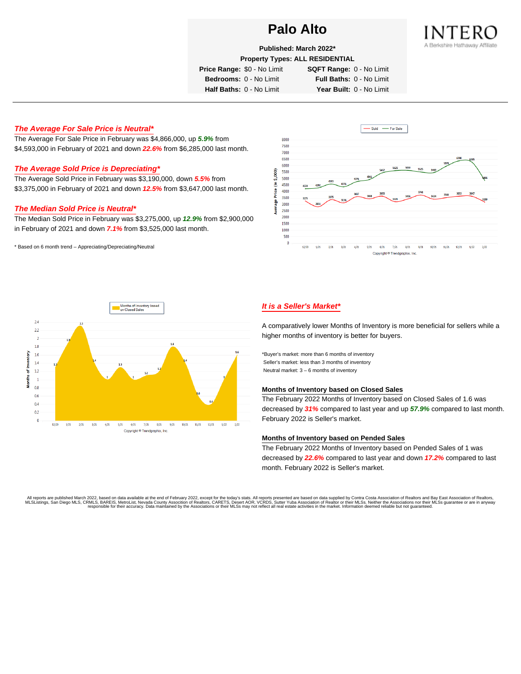

**Published: March 2022\***

**Property Types: ALL RESIDENTIAL**

**Price Range:** \$0 - No Limit **SQFT Range:** 0 - No Limit

**Bedrooms:** 0 - No Limit **Full Baths:** 0 - No Limit **Half Baths:** 0 - No Limit **Year Built:** 0 - No Limit

#### **The Average For Sale Price is Neutral\***

The Average For Sale Price in February was \$4,866,000, up **5.9%** from \$4,593,000 in February of 2021 and down **22.6%** from \$6,285,000 last month.

#### **The Average Sold Price is Depreciating\***

The Average Sold Price in February was \$3,190,000, down **5.5%** from \$3,375,000 in February of 2021 and down **12.5%** from \$3,647,000 last month.

#### **The Median Sold Price is Neutral\***

The Median Sold Price in February was \$3,275,000, up **12.9%** from \$2,900,000 in February of 2021 and down **7.1%** from \$3,525,000 last month.

\* Based on 6 month trend – Appreciating/Depreciating/Neutral





#### **It is a Seller's Market\***

A comparatively lower Months of Inventory is more beneficial for sellers while a higher months of inventory is better for buyers.

\*Buyer's market: more than 6 months of inventory Seller's market: less than 3 months of inventory Neutral market: 3 – 6 months of inventory

#### **Months of Inventory based on Closed Sales**

The February 2022 Months of Inventory based on Closed Sales of 1.6 was decreased by **31%** compared to last year and up **57.9%** compared to last month. February 2022 is Seller's market.

#### **Months of Inventory based on Pended Sales**

The February 2022 Months of Inventory based on Pended Sales of 1 was decreased by **22.6%** compared to last year and down **17.2%** compared to last month. February 2022 is Seller's market.

. All reports are published March 2022, based on data available at the end of February 2022, except for the today's stats. All reports presented are based on data supplied by Contra Costa Association of Realtors, San Bread responsible for their accuracy. Data maintained by the Associations or their MLSs may not reflect all real estate activities in the market. Information deemed reliable but not guaranteed.